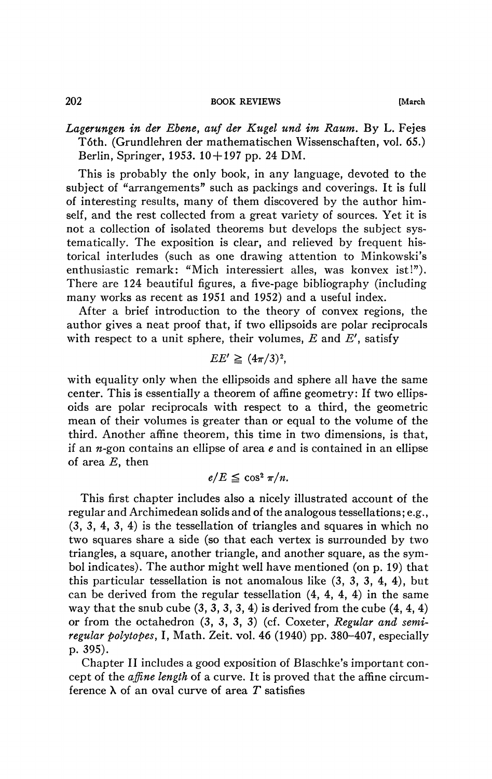## 202 **BOOK REVIEWS (March**

*Lagerungen in der Ebene, auf der Kugel und im Raum.* By L. Fejes Tóth. (Grundlehren der mathematischen Wissenschaften, vol. 65.) Berlin, Springer, 1953. 10 + 197 pp. 24 DM.

This is probably the only book, in any language, devoted to the subject of "arrangements" such as packings and coverings. It is full of interesting results, many of them discovered by the author himself, and the rest collected from a great variety of sources. Yet it is not a collection of isolated theorems but develops the subject systematically. The exposition is clear, and relieved by frequent historical interludes (such as one drawing attention to Minkowski's enthusiastic remark: "Mich interessiert alles, was konvex ist!"). There are 124 beautiful figures, a five-page bibliography (including many works as recent as 1951 and 1952) and a useful index.

After a brief introduction to the theory of convex regions, the author gives a neat proof that, if two ellipsoids are polar reciprocals with respect to a unit sphere, their volumes, *E* and E', satisfy

$$
EE' \geq (4\pi/3)^2,
$$

with equality only when the ellipsoids and sphere all have the same center. This is essentially a theorem of affine geometry: If two ellipsoids are polar reciprocals with respect to a third, the geometric mean of their volumes is greater than or equal to the volume of the third. Another affine theorem, this time in two dimensions, is that, if an *n-gon* contains an ellipse of area *e* and is contained in an ellipse of area *E,* then

 $e/E \leq \cos^2 \pi/n$ .

This first chapter includes also a nicely illustrated account of the regular and Archimedean solids and of the analogous tessellations; e.g., (3, 3, 4, 3, 4) is the tessellation of triangles and squares in which no two squares share a side (so that each vertex is surrounded by two triangles, a square, another triangle, and another square, as the symbol indicates). The author might well have mentioned (on p. 19) that this particular tessellation is not anomalous like (3, 3, 3, 4, 4), but can be derived from the regular tessellation (4, 4, 4, 4) in the same way that the snub cube  $(3, 3, 3, 3, 4)$  is derived from the cube  $(4, 4, 4)$ or from the octahedron (3, 3, 3, 3) (cf. Coxeter, *Regular and semiregular poly topes,* I, Math. Zeit. vol. 46 (1940) pp. 380-407, especially p. 395).

Chapter II includes a good exposition of Blaschke's important concept of the *affine length* of a curve. It is proved that the affine circumference  $\lambda$  of an oval curve of area T satisfies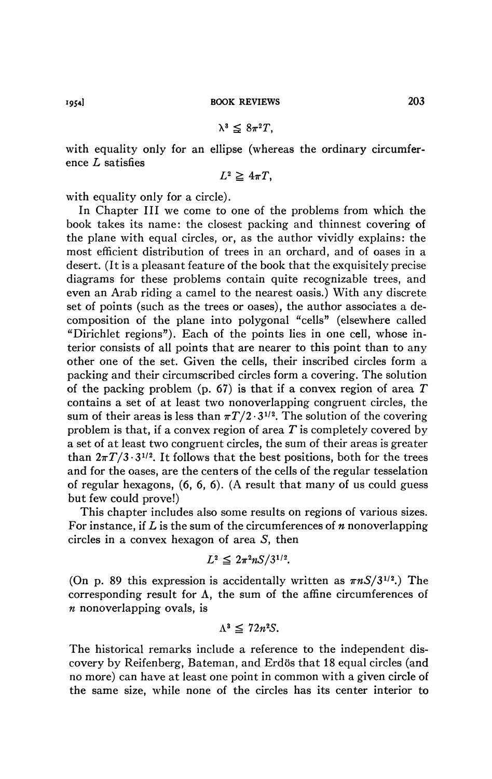$$
\lambda^3 \leq 8\pi^2 T,
$$

with equality only for an ellipse (whereas the ordinary circumference *L* satisfies

$$
L^2 \geq 4\pi T,
$$

with equality only for a circle).

In Chapter III we come to one of the problems from which the book takes its name: the closest packing and thinnest covering of the plane with equal circles, or, as the author vividly explains: the most efficient distribution of trees in an orchard, and of oases in a desert. (It is a pleasant feature of the book that the exquisitely precise diagrams for these problems contain quite recognizable trees, and even an Arab riding a camel to the nearest oasis.) With any discrete set of points (such as the trees or oases), the author associates a decomposition of the plane into polygonal "cells" (elsewhere called "Dirichlet regions"). Each of the points lies in one cell, whose interior consists of all points that are nearer to this point than to any other one of the set. Given the cells, their inscribed circles form a packing and their circumscribed circles form a covering. The solution of the packing problem (p. 67) is that if a convex region of area *T*  contains a set of at least two nonoverlapping congruent circles, the sum of their areas is less than  $\pi T/2 \cdot 3^{1/2}$ . The solution of the covering problem is that, if a convex region of area *T* is completely covered by a set of at least two congruent circles, the sum of their areas is greater than  $2\pi T/3.3^{1/2}$ . It follows that the best positions, both for the trees and for the oases, are the centers of the cells of the regular tesselation of regular hexagons, (6, 6, 6). (A result that many of us could guess but few could prove!)

This chapter includes also some results on regions of various sizes. For instance, if *L* is the sum of the circumferences of *n* nonoverlapping circles in a convex hexagon of area 5, then

$$
L^2 \leq 2\pi^2 n S/3^{1/2}.
$$

(On p. 89 this expression is accidentally written as  $\pi n S/3^{1/2}$ .) The corresponding result for  $\Lambda$ , the sum of the affine circumferences of *n* nonoverlapping ovals, is

$$
\Lambda^3 \leq 72n^2S.
$$

The historical remarks include a reference to the independent discovery by Reifenberg, Bateman, and Erdös that 18 equal circles (and no more) can have at least one point in common with a given circle of the same size, while none of the circles has its center interior to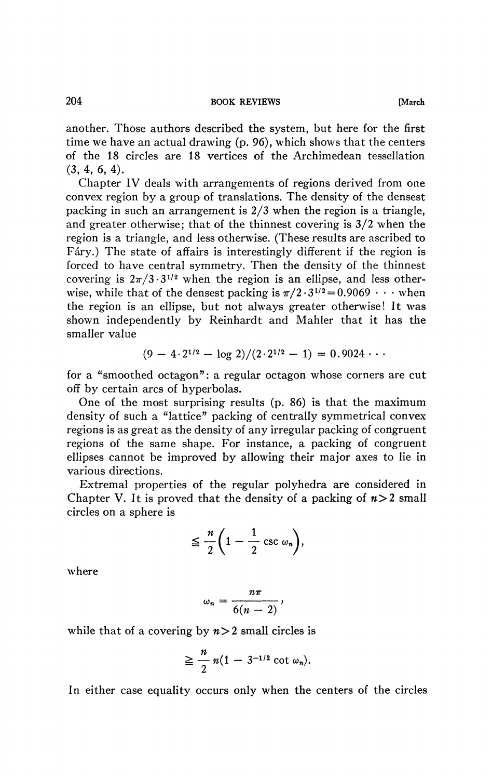another. Those authors described the system, but here for the first time we have an actual drawing (p. 96), which shows that the centers of the 18 circles are 18 vertices of the Archimedean tessellation (3, 4, 6, 4).

Chapter IV deals with arrangements of regions derived from one convex region by a group of translations. The density of the densest packing in such an arrangement is 2/3 when the region is a triangle, and greater otherwise; that of the thinnest covering is 3/2 when the region is a triangle, and less otherwise. (These results are ascribed to Fâry.) The state of affairs is interestingly different if the region is forced to have central symmetry. Then the density of the thinnest covering is  $2\pi/3 \cdot 3^{1/2}$  when the region is an ellipse, and less otherwise, while that of the densest packing is  $\pi/2 \cdot 3^{1/2} = 0.9069 \cdot \cdot \cdot$  when the region is an ellipse, but not always greater otherwise! It was shown independently by Reinhardt and Mahler that it has the smaller value

$$
(9-4\cdot 2^{1/2}-\log 2)/(2\cdot 2^{1/2}-1)=0.9024\cdots
$$

for a "smoothed octagon": a regular octagon whose corners are cut off by certain arcs of hyperbolas.

One of the most surprising results (p. 86) is that the maximum density of such a "lattice" packing of centrally symmetrical convex regions is as great as the density of any irregular packing of congruent regions of the same shape. For instance, a packing of congruent ellipses cannot be improved by allowing their major axes to lie in various directions.

Extremal properties of the regular polyhedra are considered in Chapter V. It is proved that the density of a packing of  $n>2$  small circles on a sphere is

$$
\leq \frac{n}{2}\bigg(1-\frac{1}{2}\csc \omega_n\bigg),
$$

where

$$
\omega_n=\frac{n\pi}{6(n-2)},
$$

while that of a covering by  $n>2$  small circles is

$$
\geq \frac{n}{2} n(1-3^{-1/2} \cot \omega_n).
$$

In either case equality occurs only when the centers of the circles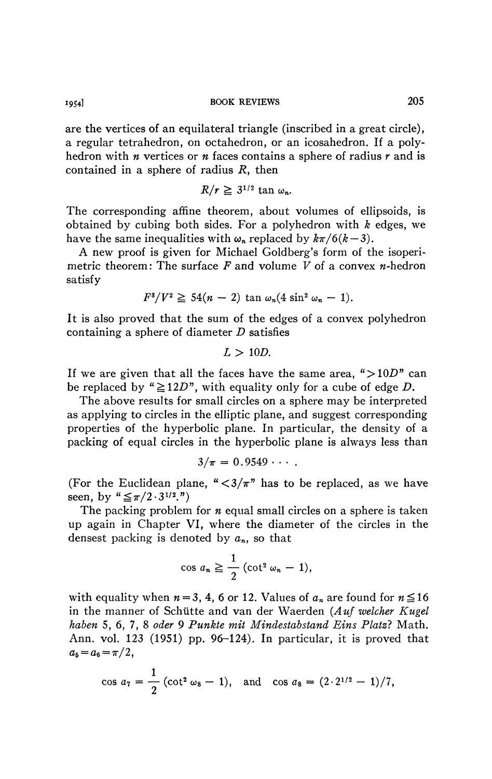**19541 BOOK REVIEWS** 205

are the vertices of an equilateral triangle (inscribed in a great circle), a regular tetrahedron, on octahedron, or an icosahedron. If a polyhedron with *n* vertices or *n* faces contains a sphere of radius *r* and is contained in a sphere of radius *R,* then

$$
R/r \geq 3^{1/2} \tan \omega_n.
$$

The corresponding affine theorem, about volumes of ellipsoids, is obtained by cubing both sides. For a polyhedron with *k* edges, we have the same inequalities with  $\omega_n$  replaced by  $k\pi/6(k-3)$ .

A new proof is given for Michael Goldberg's form of the isoperimetric theorem: The surface  $F$  and volume  $V$  of a convex  $n$ -hedron satisfy

$$
F^3/V^2 \geq 54(n-2) \tan \omega_n (4 \sin^2 \omega_n - 1).
$$

It is also proved that the sum of the edges of a convex polyhedron containing a sphere of diameter *D* satisfies

$$
L>10D.
$$

If we are given that all the faces have the same area, " $>10D$ " can be replaced by " $\geq 12D$ ", with equality only for a cube of edge D.

The above results for small circles on a sphere may be interpreted as applying to circles in the elliptic plane, and suggest corresponding properties of the hyperbolic plane. In particular, the density of a packing of equal circles in the hyperbolic plane is always less than

$$
3/\pi = 0.9549 \cdots.
$$

(For the Euclidean plane,  $\frac{4}{3}\pi$ " has to be replaced, as we have seen, by  $\mathfrak{g} \leq \pi/2 \cdot 3^{1/2}$ .")

The packing problem for *n* equal small circles on a sphere is taken up again in Chapter VI, where the diameter of the circles in the densest packing is denoted by *an,* so that

$$
\cos a_n \geq \frac{1}{2} (\cot^2 \omega_n - 1),
$$

with equality when  $n = 3$ , 4, 6 or 12. Values of  $a_n$  are found for  $n \le 16$ in the manner of Schutte and van der Waerden *(Auf welcher Kugel haben* 5, 6, 7, 8 *oder 9 Punkte mit Mindestabstand Eins Platz?* Math. Ann. vol. 123 (1951) pp. 96-124). In particular, it is proved that  $a_5 = a_6 = \pi/2$ ,

$$
\cos a_7 = \frac{1}{2} (\cot^2 \omega_8 - 1)
$$
, and  $\cos a_8 = (2 \cdot 2^{1/2} - 1)/7$ ,